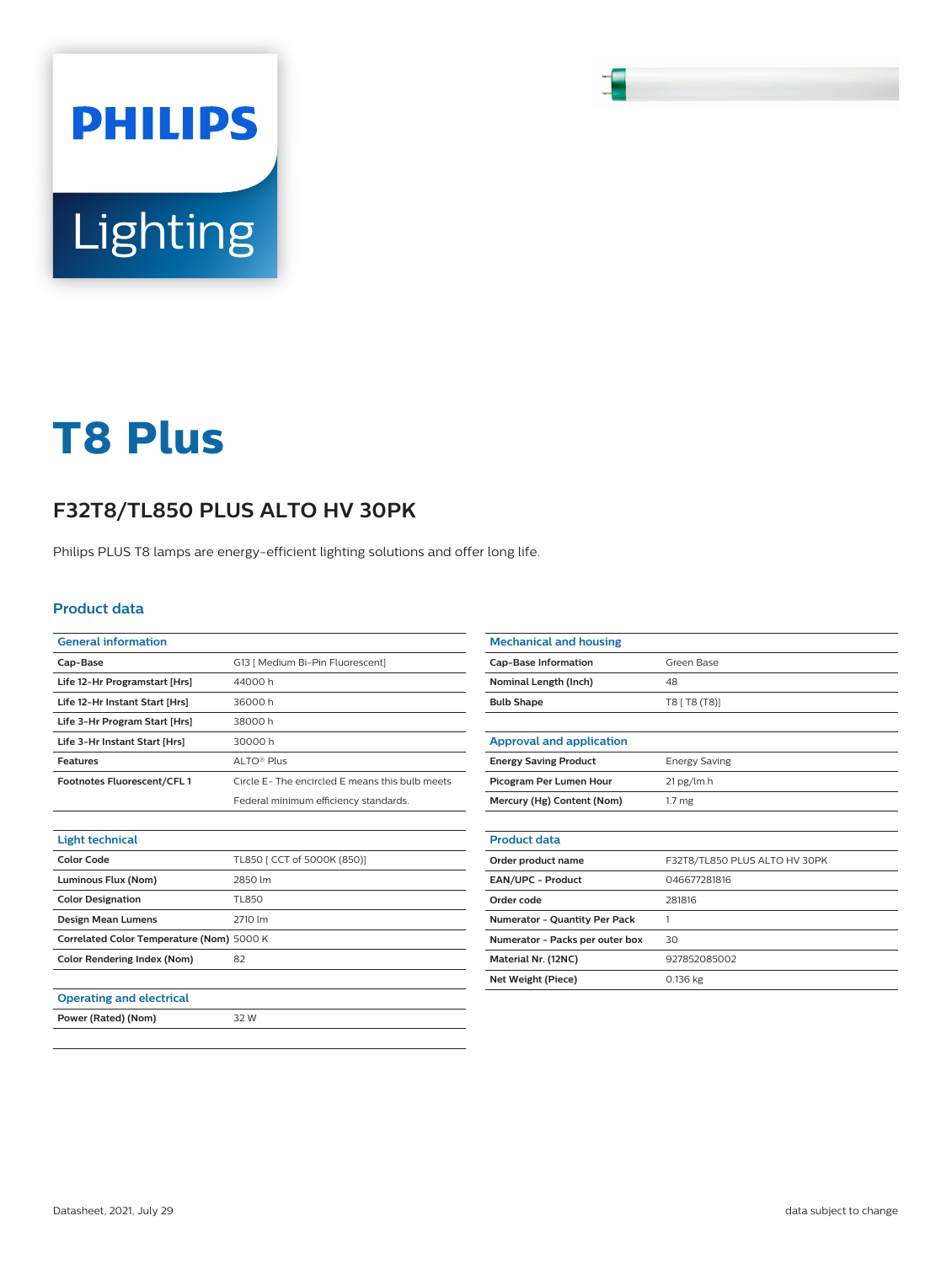# **Lighting**

**PHILIPS** 

# **T8 Plus**

## **F32T8/TL850 PLUS ALTO HV 30PK**

Philips PLUS T8 lamps are energy-efficient lighting solutions and offer long life.

### **Product data**

| <b>General information</b>                |                                                |
|-------------------------------------------|------------------------------------------------|
| Cap-Base                                  | G13   Medium Bi-Pin Fluorescent]               |
| Life 12-Hr Programstart [Hrs]             | 44000h                                         |
| Life 12-Hr Instant Start [Hrs]            | 36000h                                         |
| Life 3-Hr Program Start [Hrs]             | 38000 h                                        |
| Life 3-Hr Instant Start [Hrs]             | 30000 h                                        |
| <b>Features</b>                           | ALTO <sup>®</sup> Plus                         |
| Footnotes Fluorescent/CFL1                | Circle E-The encircled E means this bulb meets |
|                                           | Federal minimum efficiency standards.          |
|                                           |                                                |
| <b>Light technical</b>                    |                                                |
| <b>Color Code</b>                         | TL850   CCT of 5000K (850)]                    |
| Luminous Flux (Nom)                       | 2850 lm                                        |
| <b>Color Designation</b>                  | TL850                                          |
| Design Mean Lumens                        | 2710 lm                                        |
| Correlated Color Temperature (Nom) 5000 K |                                                |
| <b>Color Rendering Index (Nom)</b>        | 82                                             |
|                                           |                                                |
| <b>Operating and electrical</b>           |                                                |
| Power (Rated) (Nom)                       | 32 W                                           |

| <b>Mechanical and housing</b>        |                               |
|--------------------------------------|-------------------------------|
| <b>Cap-Base Information</b>          | Green Base                    |
| Nominal Length (Inch)                | 48                            |
| <b>Bulb Shape</b>                    | T8 [ T8 (T8)]                 |
|                                      |                               |
| <b>Approval and application</b>      |                               |
| <b>Energy Saving Product</b>         | <b>Energy Saving</b>          |
| Picogram Per Lumen Hour              | 21 pg/lm.h                    |
| Mercury (Hg) Content (Nom)           | 1.7 <sub>mg</sub>             |
|                                      |                               |
| <b>Product data</b>                  |                               |
| Order product name                   | F32T8/TL850 PLUS ALTO HV 30PK |
| <b>EAN/UPC - Product</b>             | 046677281816                  |
| Order code                           | 281816                        |
| <b>Numerator - Quantity Per Pack</b> | 1                             |
| Numerator - Packs per outer box      | 30                            |
| Material Nr. (12NC)                  | 927852085002                  |
| Net Weight (Piece)                   | 0.136 kg                      |